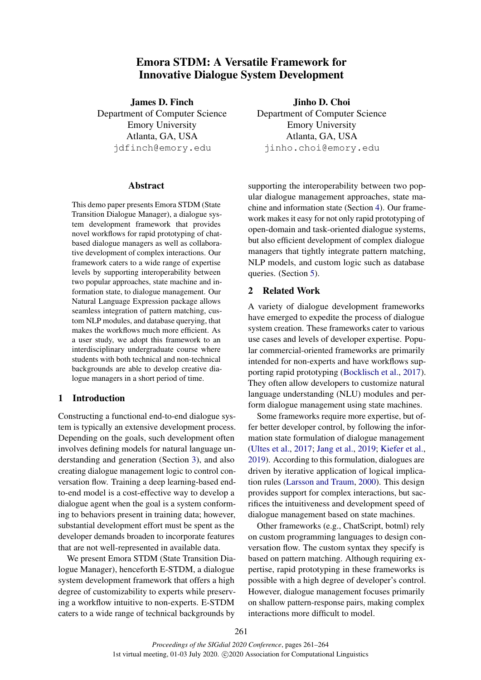# Emora STDM: A Versatile Framework for Innovative Dialogue System Development

<span id="page-0-0"></span>James D. Finch Department of Computer Science Emory University Atlanta, GA, USA jdfinch@emory.edu

### Abstract

This demo paper presents Emora STDM (State Transition Dialogue Manager), a dialogue system development framework that provides novel workflows for rapid prototyping of chatbased dialogue managers as well as collaborative development of complex interactions. Our framework caters to a wide range of expertise levels by supporting interoperability between two popular approaches, state machine and information state, to dialogue management. Our Natural Language Expression package allows seamless integration of pattern matching, custom NLP modules, and database querying, that makes the workflows much more efficient. As a user study, we adopt this framework to an interdisciplinary undergraduate course where students with both technical and non-technical backgrounds are able to develop creative dialogue managers in a short period of time.

# 1 Introduction

Constructing a functional end-to-end dialogue system is typically an extensive development process. Depending on the goals, such development often involves defining models for natural language understanding and generation (Section [3\)](#page-1-0), and also creating dialogue management logic to control conversation flow. Training a deep learning-based endto-end model is a cost-effective way to develop a dialogue agent when the goal is a system conforming to behaviors present in training data; however, substantial development effort must be spent as the developer demands broaden to incorporate features that are not well-represented in available data.

We present Emora STDM (State Transition Dialogue Manager), henceforth E-STDM, a dialogue system development framework that offers a high degree of customizability to experts while preserving a workflow intuitive to non-experts. E-STDM caters to a wide range of technical backgrounds by

Jinho D. Choi Department of Computer Science Emory University Atlanta, GA, USA jinho.choi@emory.edu

supporting the interoperability between two popular dialogue management approaches, state machine and information state (Section [4\)](#page-2-0). Our framework makes it easy for not only rapid prototyping of open-domain and task-oriented dialogue systems, but also efficient development of complex dialogue managers that tightly integrate pattern matching, NLP models, and custom logic such as database queries. (Section [5\)](#page-3-0).

# 2 Related Work

A variety of dialogue development frameworks have emerged to expedite the process of dialogue system creation. These frameworks cater to various use cases and levels of developer expertise. Popular commercial-oriented frameworks are primarily intended for non-experts and have workflows supporting rapid prototyping [\(Bocklisch et al.,](#page-3-1) [2017\)](#page-3-1). They often allow developers to customize natural language understanding (NLU) modules and perform dialogue management using state machines.

Some frameworks require more expertise, but offer better developer control, by following the information state formulation of dialogue management [\(Ultes et al.,](#page-3-2) [2017;](#page-3-2) [Jang et al.,](#page-3-3) [2019;](#page-3-3) [Kiefer et al.,](#page-3-4) [2019\)](#page-3-4). According to this formulation, dialogues are driven by iterative application of logical implication rules [\(Larsson and Traum,](#page-3-5) [2000\)](#page-3-5). This design provides support for complex interactions, but sacrifices the intuitiveness and development speed of dialogue management based on state machines.

Other frameworks (e.g., ChatScript, botml) rely on custom programming languages to design conversation flow. The custom syntax they specify is based on pattern matching. Although requiring expertise, rapid prototyping in these frameworks is possible with a high degree of developer's control. However, dialogue management focuses primarily on shallow pattern-response pairs, making complex interactions more difficult to model.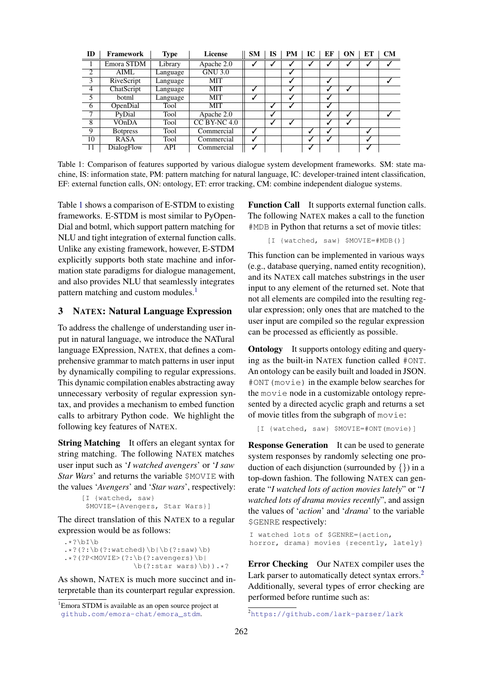<span id="page-1-1"></span>

| ID              | Framework       | <b>Type</b> | License        | <b>SM</b> | <b>IS</b> | <b>PM</b> | IC | ЕF | ON | EТ | <b>CM</b> |
|-----------------|-----------------|-------------|----------------|-----------|-----------|-----------|----|----|----|----|-----------|
|                 | Emora STDM      | Library     | Apache 2.0     |           |           |           |    |    |    |    |           |
| $\overline{2}$  | AIML            | Language    | <b>GNU 3.0</b> |           |           |           |    |    |    |    |           |
| $\overline{3}$  | RiveScript      | Language    | MIT            |           |           |           |    | ↵  |    |    |           |
| $\overline{4}$  | ChatScript      | Language    | MIT            | ↵         |           |           |    |    |    |    |           |
| 5               | botml           | Language    | MIT            |           |           |           |    | ں  |    |    |           |
| 6               | OpenDial        | Tool        | MIT            |           |           |           |    | ✓  |    |    |           |
| 7               | PyDial          | Tool        | Apache 2.0     |           | √         |           |    |    |    |    |           |
| 8               | VOnDA           | Tool        | $CC$ BY-NC 4.0 |           | √         |           |    | ✓  | √  |    |           |
| $\overline{9}$  | <b>Botpress</b> | Tool        | Commercial     | √         |           |           | √  |    |    |    |           |
| $\overline{10}$ | <b>RASA</b>     | Tool        | Commercial     | v         |           |           | √  |    |    |    |           |
| 11              | DialogFlow      | API         | Commercial     |           |           |           |    |    |    |    |           |

Table 1: Comparison of features supported by various dialogue system development frameworks. SM: state machine, IS: information state, PM: pattern matching for natural language, IC: developer-trained intent classification, EF: external function calls, ON: ontology, ET: error tracking, CM: combine independent dialogue systems.

Table [1](#page-1-1) shows a comparison of E-STDM to existing frameworks. E-STDM is most similar to PyOpen-Dial and botml, which support pattern matching for NLU and tight integration of external function calls. Unlike any existing framework, however, E-STDM explicitly supports both state machine and information state paradigms for dialogue management, and also provides NLU that seamlessly integrates pattern matching and custom modules.<sup>[1](#page-0-0)</sup>

# <span id="page-1-0"></span>3 NATEX: Natural Language Expression

To address the challenge of understanding user input in natural language, we introduce the NATural language EXpression, NATEX, that defines a comprehensive grammar to match patterns in user input by dynamically compiling to regular expressions. This dynamic compilation enables abstracting away unnecessary verbosity of regular expression syntax, and provides a mechanism to embed function calls to arbitrary Python code. We highlight the following key features of NATEX.

**String Matching** It offers an elegant syntax for string matching. The following NATEX matches user input such as '*I watched avengers*' or '*I saw Star Wars*' and returns the variable \$MOVIE with the values '*Avengers*' and '*Star wars*', respectively:

```
[I {watched, saw}
$MOVIE={Avengers, Star Wars}]
```
The direct translation of this NATEX to a regular expression would be as follows:

```
.*?\bI\b
.*? (?:\b(?:watched)\b|\b(?:saw)\b)
.*?(?P<MOVIE>(?:\b(?:avengers)\b|
                \b(?:star \ wars) \b).*?
```
As shown, NATEX is much more succinct and interpretable than its counterpart regular expression.

Function Call It supports external function calls. The following NATEX makes a call to the function #MDB in Python that returns a set of movie titles:

[I {watched, saw} \$MOVIE=#MDB()]

This function can be implemented in various ways (e.g., database querying, named entity recognition), and its NATEX call matches substrings in the user input to any element of the returned set. Note that not all elements are compiled into the resulting regular expression; only ones that are matched to the user input are compiled so the regular expression can be processed as efficiently as possible.

**Ontology** It supports ontology editing and querying as the built-in NATEX function called #ONT. An ontology can be easily built and loaded in JSON. #ONT(movie) in the example below searches for the movie node in a customizable ontology represented by a directed acyclic graph and returns a set of movie titles from the subgraph of movie:

```
[I {watched, saw} $MOVIE=#ONT(movie)]
```
**Response Generation** It can be used to generate system responses by randomly selecting one production of each disjunction (surrounded by  $\{\}$ ) in a top-down fashion. The following NATEX can generate "*I watched lots of action movies lately*" or "*I watched lots of drama movies recently*", and assign the values of '*action*' and '*drama*' to the variable \$GENRE respectively:

```
I watched lots of $GENRE={action,
horror, drama} movies {recently, lately}
```
Error Checking Our NATEX compiler uses the Lark parser to automatically detect syntax errors.<sup>[2](#page-0-0)</sup> Additionally, several types of error checking are performed before runtime such as:

<sup>&</sup>lt;sup>1</sup>Emora STDM is available as an open source project at [github.com/emora-chat/emora\\_stdm](github.com/emora-chat/emora_stdm).

<sup>2</sup><https://github.com/lark-parser/lark>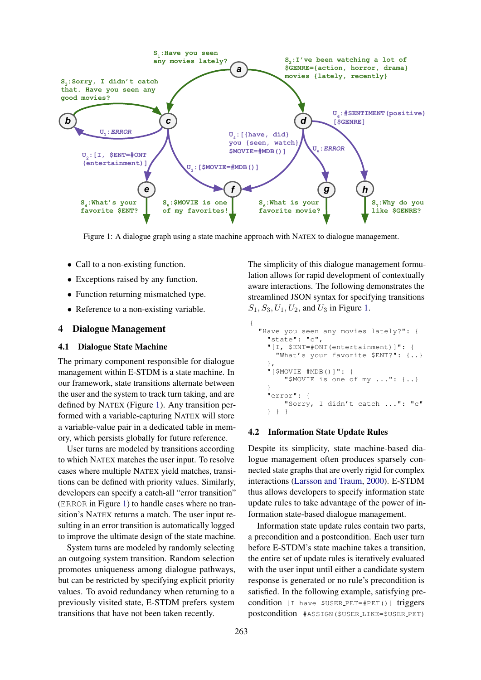<span id="page-2-1"></span>

Figure 1: A dialogue graph using a state machine approach with NATEX to dialogue management.

{

- Call to a non-existing function.
- Exceptions raised by any function.
- Function returning mismatched type.
- Reference to a non-existing variable.

### <span id="page-2-0"></span>4 Dialogue Management

#### 4.1 Dialogue State Machine

The primary component responsible for dialogue management within E-STDM is a state machine. In our framework, state transitions alternate between the user and the system to track turn taking, and are defined by NATEX (Figure [1\)](#page-2-1). Any transition performed with a variable-capturing NATEX will store a variable-value pair in a dedicated table in memory, which persists globally for future reference.

User turns are modeled by transitions according to which NATEX matches the user input. To resolve cases where multiple NATEX yield matches, transitions can be defined with priority values. Similarly, developers can specify a catch-all "error transition" (ERROR in Figure [1\)](#page-2-1) to handle cases where no transition's NATEX returns a match. The user input resulting in an error transition is automatically logged to improve the ultimate design of the state machine.

System turns are modeled by randomly selecting an outgoing system transition. Random selection promotes uniqueness among dialogue pathways, but can be restricted by specifying explicit priority values. To avoid redundancy when returning to a previously visited state, E-STDM prefers system transitions that have not been taken recently.

The simplicity of this dialogue management formulation allows for rapid development of contextually aware interactions. The following demonstrates the streamlined JSON syntax for specifying transitions  $S_1, S_3, U_1, U_2$ , and  $U_3$  in Figure [1.](#page-2-1)

```
"Have you seen any movies lately?": {
  "state": "c",
  "[I, $ENT=#ONT(entertainment)]": {
    "What's your favorite $ENT?": {..}
  },
  "[$MOVIE=#MDB()]": {
      "$MOVIE is one of my ...": {..}
  }
  "error": {
      "Sorry, I didn't catch ...": "c"
  } } }
```
# 4.2 Information State Update Rules

Despite its simplicity, state machine-based dialogue management often produces sparsely connected state graphs that are overly rigid for complex interactions [\(Larsson and Traum,](#page-3-5) [2000\)](#page-3-5). E-STDM thus allows developers to specify information state update rules to take advantage of the power of information state-based dialogue management.

Information state update rules contain two parts, a precondition and a postcondition. Each user turn before E-STDM's state machine takes a transition, the entire set of update rules is iteratively evaluated with the user input until either a candidate system response is generated or no rule's precondition is satisfied. In the following example, satisfying precondition [I have \$USER PET=#PET()] triggers postcondition #ASSIGN(\$USER LIKE=\$USER PET)